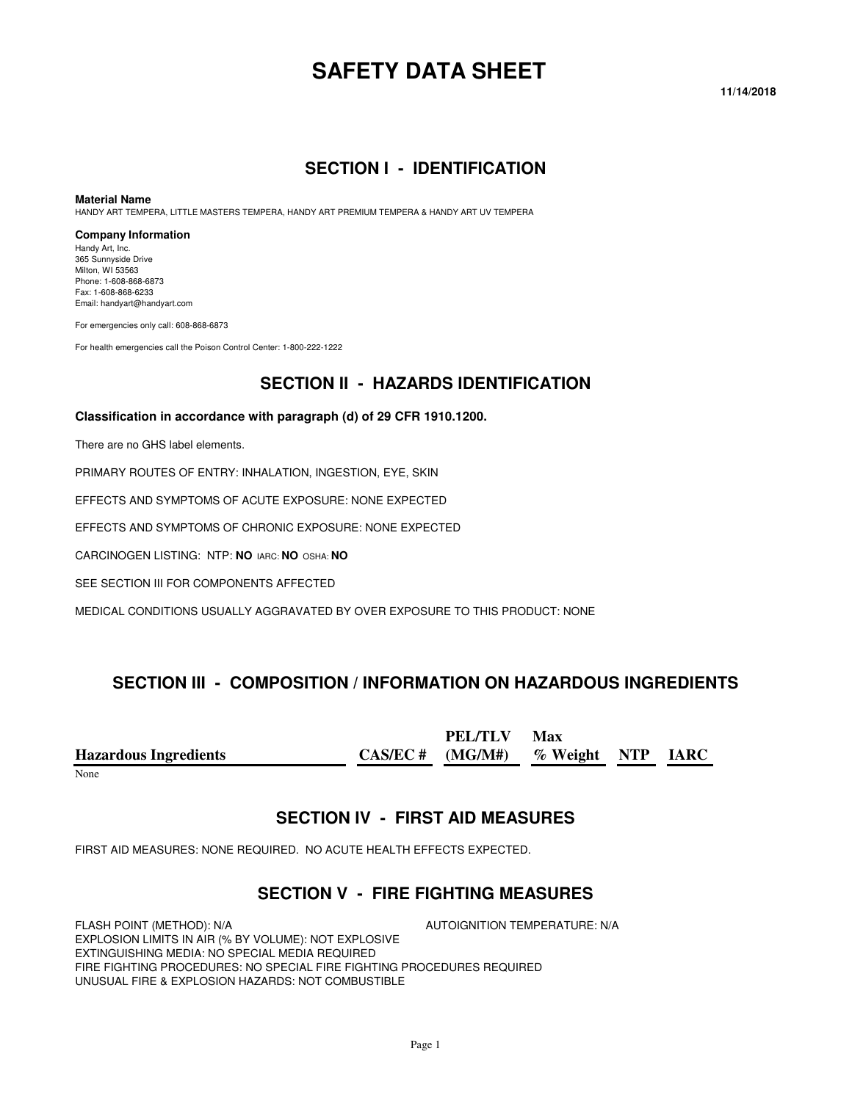# **SAFETY DATA SHEET**

#### **11/14/2018**

#### **SECTION I - IDENTIFICATION**

#### **Material Name**

HANDY ART TEMPERA, LITTLE MASTERS TEMPERA, HANDY ART PREMIUM TEMPERA & HANDY ART UV TEMPERA

#### **Company Information**

Handy Art, Inc. 365 Sunnyside Drive Milton, WI 53563 Phone: 1-608-868-6873 Fax: 1-608-868-6233 Email: handyart@handyart.com

For emergencies only call: 608-868-6873

For health emergencies call the Poison Control Center: 1-800-222-1222

### **SECTION II - HAZARDS IDENTIFICATION**

#### **Classification in accordance with paragraph (d) of 29 CFR 1910.1200.**

There are no GHS label elements.

PRIMARY ROUTES OF ENTRY: INHALATION, INGESTION, EYE, SKIN

EFFECTS AND SYMPTOMS OF ACUTE EXPOSURE: NONE EXPECTED

EFFECTS AND SYMPTOMS OF CHRONIC EXPOSURE: NONE EXPECTED

CARCINOGEN LISTING: NTP: **NO** IARC: **NO** OSHA: **NO**

SEE SECTION III FOR COMPONENTS AFFECTED

MEDICAL CONDITIONS USUALLY AGGRAVATED BY OVER EXPOSURE TO THIS PRODUCT: NONE

### **SECTION III - COMPOSITION / INFORMATION ON HAZARDOUS INGREDIENTS**

**Hazardous Ingredients CAS/EC # PEL/TLV (MG/M#) Max % Weight NTP IARC** 

None

#### **SECTION IV - FIRST AID MEASURES**

FIRST AID MEASURES: NONE REQUIRED. NO ACUTE HEALTH EFFECTS EXPECTED.

#### **SECTION V - FIRE FIGHTING MEASURES**

FLASH POINT (METHOD): N/A  $\overline{A}$  autoignition temperature: N/A EXPLOSION LIMITS IN AIR (% BY VOLUME): NOT EXPLOSIVE EXTINGUISHING MEDIA: NO SPECIAL MEDIA REQUIRED FIRE FIGHTING PROCEDURES: NO SPECIAL FIRE FIGHTING PROCEDURES REQUIRED UNUSUAL FIRE & EXPLOSION HAZARDS: NOT COMBUSTIBLE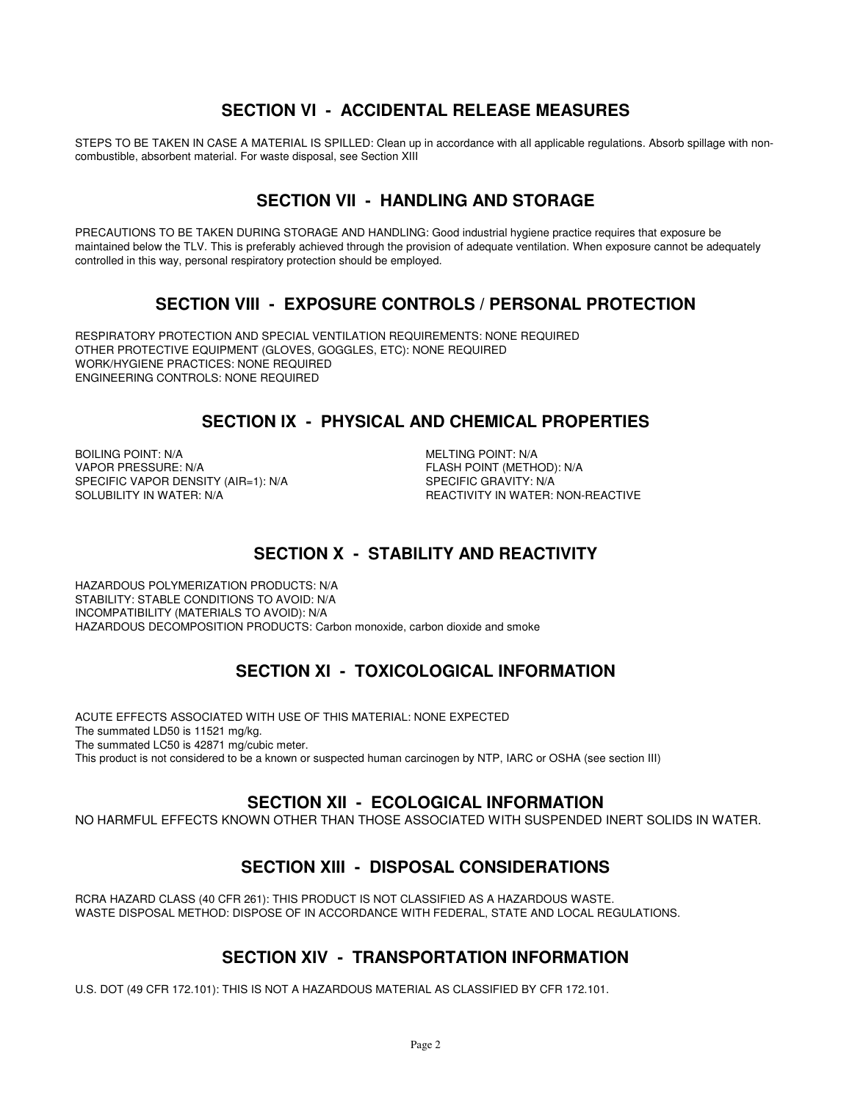### **SECTION VI - ACCIDENTAL RELEASE MEASURES**

STEPS TO BE TAKEN IN CASE A MATERIAL IS SPILLED: Clean up in accordance with all applicable regulations. Absorb spillage with noncombustible, absorbent material. For waste disposal, see Section XIII

# **SECTION VII - HANDLING AND STORAGE**

PRECAUTIONS TO BE TAKEN DURING STORAGE AND HANDLING: Good industrial hygiene practice requires that exposure be maintained below the TLV. This is preferably achieved through the provision of adequate ventilation. When exposure cannot be adequately controlled in this way, personal respiratory protection should be employed.

### **SECTION VIII - EXPOSURE CONTROLS / PERSONAL PROTECTION**

RESPIRATORY PROTECTION AND SPECIAL VENTILATION REQUIREMENTS: NONE REQUIRED OTHER PROTECTIVE EQUIPMENT (GLOVES, GOGGLES, ETC): NONE REQUIRED WORK/HYGIENE PRACTICES: NONE REQUIRED ENGINEERING CONTROLS: NONE REQUIRED

### **SECTION IX - PHYSICAL AND CHEMICAL PROPERTIES**

BOILING POINT: N/A **MELTING POINT: N/A** VAPOR PRESSURE: N/A<br>SPECIFIC VAPOR DENSITY (AIR=1): N/A FLASH POINT (METHOD): N/A SPECIFIC VAPOR DENSITY (AIR=1): N/A<br>SOLUBILITY IN WATER: N/A

REACTIVITY IN WATER: NON-REACTIVE

# **SECTION X - STABILITY AND REACTIVITY**

HAZARDOUS POLYMERIZATION PRODUCTS: N/A STABILITY: STABLE CONDITIONS TO AVOID: N/A INCOMPATIBILITY (MATERIALS TO AVOID): N/A HAZARDOUS DECOMPOSITION PRODUCTS: Carbon monoxide, carbon dioxide and smoke

# **SECTION XI - TOXICOLOGICAL INFORMATION**

ACUTE EFFECTS ASSOCIATED WITH USE OF THIS MATERIAL: NONE EXPECTED The summated LD50 is 11521 mg/kg. The summated LC50 is 42871 mg/cubic meter. This product is not considered to be a known or suspected human carcinogen by NTP, IARC or OSHA (see section III)

### **SECTION XII - ECOLOGICAL INFORMATION**

NO HARMFUL EFFECTS KNOWN OTHER THAN THOSE ASSOCIATED WITH SUSPENDED INERT SOLIDS IN WATER.

# **SECTION XIII - DISPOSAL CONSIDERATIONS**

RCRA HAZARD CLASS (40 CFR 261): THIS PRODUCT IS NOT CLASSIFIED AS A HAZARDOUS WASTE. WASTE DISPOSAL METHOD: DISPOSE OF IN ACCORDANCE WITH FEDERAL, STATE AND LOCAL REGULATIONS.

# **SECTION XIV - TRANSPORTATION INFORMATION**

U.S. DOT (49 CFR 172.101): THIS IS NOT A HAZARDOUS MATERIAL AS CLASSIFIED BY CFR 172.101.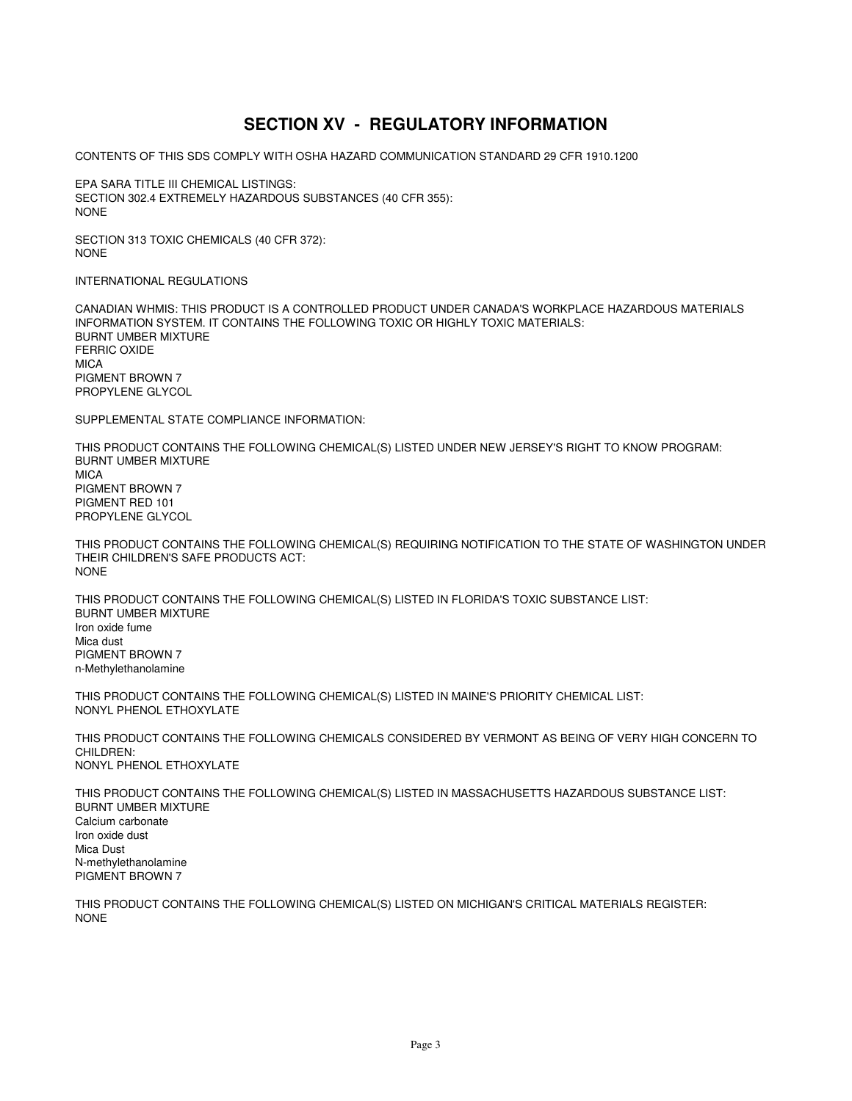# **SECTION XV - REGULATORY INFORMATION**

CONTENTS OF THIS SDS COMPLY WITH OSHA HAZARD COMMUNICATION STANDARD 29 CFR 1910.1200

EPA SARA TITLE III CHEMICAL LISTINGS: SECTION 302.4 EXTREMELY HAZARDOUS SUBSTANCES (40 CFR 355): NONE

SECTION 313 TOXIC CHEMICALS (40 CFR 372): NONE

INTERNATIONAL REGULATIONS

CANADIAN WHMIS: THIS PRODUCT IS A CONTROLLED PRODUCT UNDER CANADA'S WORKPLACE HAZARDOUS MATERIALS INFORMATION SYSTEM. IT CONTAINS THE FOLLOWING TOXIC OR HIGHLY TOXIC MATERIALS: BURNT UMBER MIXTURE FERRIC OXIDE **MICA** PIGMENT BROWN 7 PROPYLENE GLYCOL

SUPPLEMENTAL STATE COMPLIANCE INFORMATION:

THIS PRODUCT CONTAINS THE FOLLOWING CHEMICAL(S) LISTED UNDER NEW JERSEY'S RIGHT TO KNOW PROGRAM: BURNT UMBER MIXTURE MICA PIGMENT BROWN 7 PIGMENT RED 101 PROPYLENE GLYCOL

THIS PRODUCT CONTAINS THE FOLLOWING CHEMICAL(S) REQUIRING NOTIFICATION TO THE STATE OF WASHINGTON UNDER THEIR CHILDREN'S SAFE PRODUCTS ACT: NONE

THIS PRODUCT CONTAINS THE FOLLOWING CHEMICAL(S) LISTED IN FLORIDA'S TOXIC SUBSTANCE LIST: BURNT UMBER MIXTURE Iron oxide fume Mica dust PIGMENT BROWN 7 n-Methylethanolamine

THIS PRODUCT CONTAINS THE FOLLOWING CHEMICAL(S) LISTED IN MAINE'S PRIORITY CHEMICAL LIST: NONYL PHENOL ETHOXYLATE

THIS PRODUCT CONTAINS THE FOLLOWING CHEMICALS CONSIDERED BY VERMONT AS BEING OF VERY HIGH CONCERN TO CHILDREN: NONYL PHENOL ETHOXYLATE

THIS PRODUCT CONTAINS THE FOLLOWING CHEMICAL(S) LISTED IN MASSACHUSETTS HAZARDOUS SUBSTANCE LIST: BURNT UMBER MIXTURE Calcium carbonate Iron oxide dust Mica Dust N-methylethanolamine PIGMENT BROWN 7

THIS PRODUCT CONTAINS THE FOLLOWING CHEMICAL(S) LISTED ON MICHIGAN'S CRITICAL MATERIALS REGISTER: NONE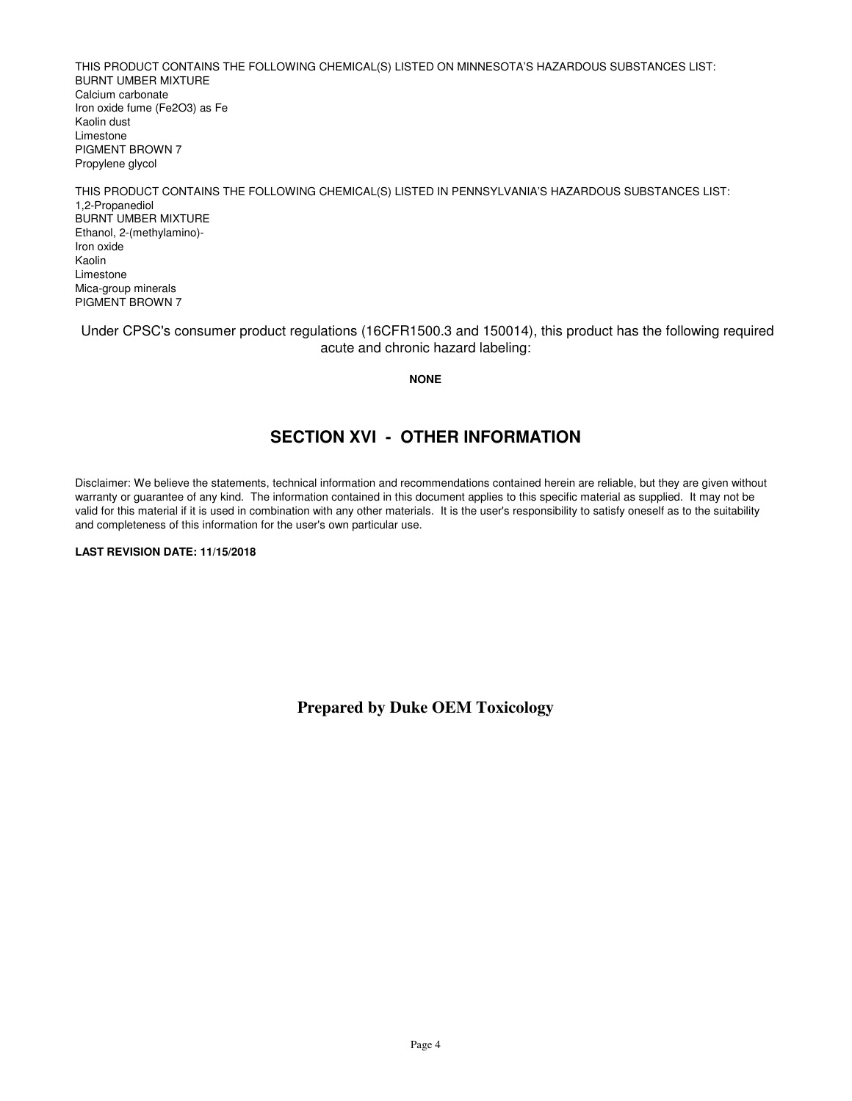THIS PRODUCT CONTAINS THE FOLLOWING CHEMICAL(S) LISTED ON MINNESOTA'S HAZARDOUS SUBSTANCES LIST: BURNT UMBER MIXTURE Calcium carbonate Iron oxide fume (Fe2O3) as Fe Kaolin dust Limestone PIGMENT BROWN 7 Propylene glycol

THIS PRODUCT CONTAINS THE FOLLOWING CHEMICAL(S) LISTED IN PENNSYLVANIA'S HAZARDOUS SUBSTANCES LIST: 1,2-Propanediol BURNT UMBER MIXTURE Ethanol, 2-(methylamino)- Iron oxide Kaolin Limestone Mica-group minerals PIGMENT BROWN 7

 Under CPSC's consumer product regulations (16CFR1500.3 and 150014), this product has the following required acute and chronic hazard labeling:

**NONE**

### **SECTION XVI - OTHER INFORMATION**

Disclaimer: We believe the statements, technical information and recommendations contained herein are reliable, but they are given without warranty or guarantee of any kind. The information contained in this document applies to this specific material as supplied. It may not be valid for this material if it is used in combination with any other materials. It is the user's responsibility to satisfy oneself as to the suitability and completeness of this information for the user's own particular use.

**LAST REVISION DATE: 11/15/2018**

**Prepared by Duke OEM Toxicology**